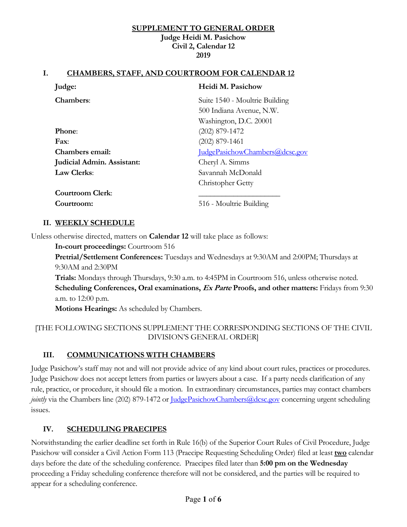#### **SUPPLEMENT TO GENERAL ORDER Judge Heidi M. Pasichow Civil 2, Calendar 12 2019**

#### **I. CHAMBERS, STAFF, AND COURTROOM FOR CALENDAR 12**

| Judge:                            | Heidi M. Pasichow                     |
|-----------------------------------|---------------------------------------|
| Chambers:                         | Suite 1540 - Moultrie Building        |
|                                   | 500 Indiana Avenue, N.W.              |
|                                   | Washington, D.C. 20001                |
| <b>Phone:</b>                     | $(202)$ 879-1472                      |
| $\mathbf{Fax}$                    | $(202)$ 879-1461                      |
| Chambers email:                   | <u>IudgePasichowChambers@dcsc.gov</u> |
| <b>Judicial Admin. Assistant:</b> | Cheryl A. Simms                       |
| <b>Law Clerks:</b>                | Savannah McDonald                     |
|                                   | <b>Christopher Getty</b>              |
| <b>Courtroom Clerk:</b>           |                                       |
| Courtroom:                        | 516 - Moultrie Building               |

#### **II. WEEKLY SCHEDULE**

Unless otherwise directed, matters on **Calendar 12** will take place as follows:

**In-court proceedings:** Courtroom 516

**Pretrial/Settlement Conferences:** Tuesdays and Wednesdays at 9:30AM and 2:00PM; Thursdays at 9:30AM and 2:30PM

**Trials:** Mondays through Thursdays, 9:30 a.m. to 4:45PM in Courtroom 516, unless otherwise noted. **Scheduling Conferences, Oral examinations, Ex Parte Proofs, and other matters:** Fridays from 9:30 a.m. to 12:00 p.m.

**Motions Hearings:** As scheduled by Chambers.

### [THE FOLLOWING SECTIONS SUPPLEMENT THE CORRESPONDING SECTIONS OF THE CIVIL DIVISION'S GENERAL ORDER]

#### **III. COMMUNICATIONS WITH CHAMBERS**

Judge Pasichow's staff may not and will not provide advice of any kind about court rules, practices or procedures. Judge Pasichow does not accept letters from parties or lawyers about a case. If a party needs clarification of any rule, practice, or procedure, it should file a motion. In extraordinary circumstances, parties may contact chambers *jointly* via the Chambers line (202) 879-1472 or <u>JudgePasichowChambers@dcsc.gov</u> concerning urgent scheduling issues.

#### **IV. SCHEDULING PRAECIPES**

Notwithstanding the earlier deadline set forth in Rule 16(b) of the Superior Court Rules of Civil Procedure, Judge Pasichow will consider a Civil Action Form 113 (Praecipe Requesting Scheduling Order) filed at least **two** calendar days before the date of the scheduling conference. Praecipes filed later than **5:00 pm on the Wednesday** proceeding a Friday scheduling conference therefore will not be considered, and the parties will be required to appear for a scheduling conference.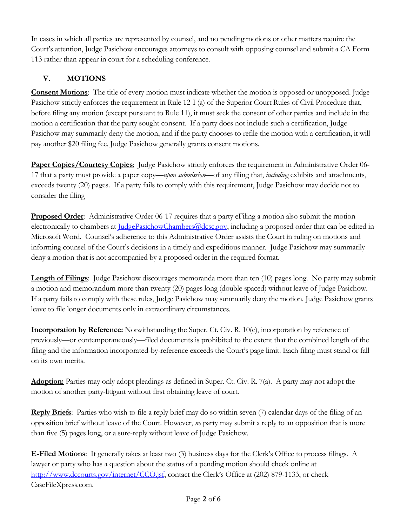In cases in which all parties are represented by counsel, and no pending motions or other matters require the Court's attention, Judge Pasichow encourages attorneys to consult with opposing counsel and submit a CA Form 113 rather than appear in court for a scheduling conference.

# **V. MOTIONS**

**Consent Motions**: The title of every motion must indicate whether the motion is opposed or unopposed. Judge Pasichow strictly enforces the requirement in Rule 12-I (a) of the Superior Court Rules of Civil Procedure that, before filing any motion (except pursuant to Rule 11), it must seek the consent of other parties and include in the motion a certification that the party sought consent. If a party does not include such a certification, Judge Pasichow may summarily deny the motion, and if the party chooses to refile the motion with a certification, it will pay another \$20 filing fee. Judge Pasichow generally grants consent motions.

**Paper Copies/Courtesy Copies**: Judge Pasichow strictly enforces the requirement in Administrative Order 06-17 that a party must provide a paper copy—*upon submission*—of any filing that, *including* exhibits and attachments, exceeds twenty (20) pages. If a party fails to comply with this requirement, Judge Pasichow may decide not to consider the filing

**Proposed Order**: Administrative Order 06-17 requires that a party eFiling a motion also submit the motion electronically to chambers at *JudgePasichowChambers@dcsc.gov*, including a proposed order that can be edited in Microsoft Word. Counsel's adherence to this Administrative Order assists the Court in ruling on motions and informing counsel of the Court's decisions in a timely and expeditious manner. Judge Pasichow may summarily deny a motion that is not accompanied by a proposed order in the required format.

**Length of Filings**: Judge Pasichow discourages memoranda more than ten (10) pages long. No party may submit a motion and memorandum more than twenty (20) pages long (double spaced) without leave of Judge Pasichow. If a party fails to comply with these rules, Judge Pasichow may summarily deny the motion. Judge Pasichow grants leave to file longer documents only in extraordinary circumstances.

**Incorporation by Reference:** Notwithstanding the Super. Ct. Civ. R. 10(c), incorporation by reference of previously—or contemporaneously—filed documents is prohibited to the extent that the combined length of the filing and the information incorporated-by-reference exceeds the Court's page limit. Each filing must stand or fall on its own merits.

**Adoption:** Parties may only adopt pleadings as defined in Super. Ct. Civ. R. 7(a). A party may not adopt the motion of another party-litigant without first obtaining leave of court.

**Reply Briefs**: Parties who wish to file a reply brief may do so within seven (7) calendar days of the filing of an opposition brief without leave of the Court. However, *no* party may submit a reply to an opposition that is more than five (5) pages long, or a sure-reply without leave of Judge Pasichow.

**E-Filed Motions**: It generally takes at least two (3) business days for the Clerk's Office to process filings. A lawyer or party who has a question about the status of a pending motion should check online at http://www.dccourts.gov/internet/CCO.jsf, contact the Clerk's Office at (202) 879-1133, or check CaseFileXpress.com.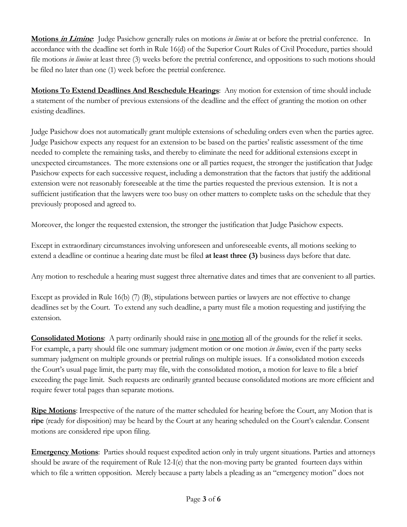**Motions in Limine**: Judge Pasichow generally rules on motions *in limine* at or before the pretrial conference. In accordance with the deadline set forth in Rule 16(d) of the Superior Court Rules of Civil Procedure, parties should file motions *in limine* at least three (3) weeks before the pretrial conference, and oppositions to such motions should be filed no later than one (1) week before the pretrial conference.

**Motions To Extend Deadlines And Reschedule Hearings**: Any motion for extension of time should include a statement of the number of previous extensions of the deadline and the effect of granting the motion on other existing deadlines.

Judge Pasichow does not automatically grant multiple extensions of scheduling orders even when the parties agree. Judge Pasichow expects any request for an extension to be based on the parties' realistic assessment of the time needed to complete the remaining tasks, and thereby to eliminate the need for additional extensions except in unexpected circumstances. The more extensions one or all parties request, the stronger the justification that Judge Pasichow expects for each successive request, including a demonstration that the factors that justify the additional extension were not reasonably foreseeable at the time the parties requested the previous extension. It is not a sufficient justification that the lawyers were too busy on other matters to complete tasks on the schedule that they previously proposed and agreed to.

Moreover, the longer the requested extension, the stronger the justification that Judge Pasichow expects.

Except in extraordinary circumstances involving unforeseen and unforeseeable events, all motions seeking to extend a deadline or continue a hearing date must be filed **at least three (3)** business days before that date.

Any motion to reschedule a hearing must suggest three alternative dates and times that are convenient to all parties.

Except as provided in Rule 16(b) (7) (B), stipulations between parties or lawyers are not effective to change deadlines set by the Court. To extend any such deadline, a party must file a motion requesting and justifying the extension.

**Consolidated Motions**: A party ordinarily should raise in <u>one motion</u> all of the grounds for the relief it seeks. For example, a party should file one summary judgment motion or one motion *in limine*, even if the party seeks summary judgment on multiple grounds or pretrial rulings on multiple issues. If a consolidated motion exceeds the Court's usual page limit, the party may file, with the consolidated motion, a motion for leave to file a brief exceeding the page limit. Such requests are ordinarily granted because consolidated motions are more efficient and require fewer total pages than separate motions.

**Ripe Motions**: Irrespective of the nature of the matter scheduled for hearing before the Court, any Motion that is **ripe** (ready for disposition) may be heard by the Court at any hearing scheduled on the Court's calendar. Consent motions are considered ripe upon filing.

**Emergency Motions**: Parties should request expedited action only in truly urgent situations. Parties and attorneys should be aware of the requirement of Rule 12-I(e) that the non-moving party be granted fourteen days within which to file a written opposition. Merely because a party labels a pleading as an "emergency motion" does not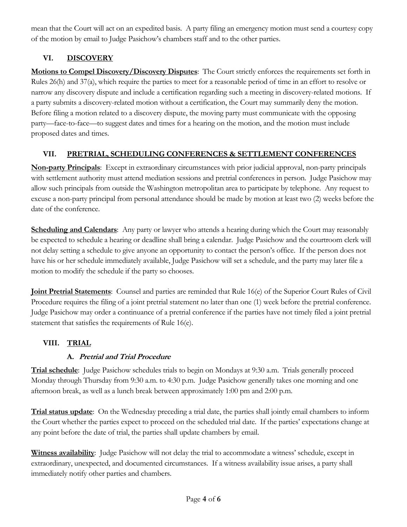mean that the Court will act on an expedited basis. A party filing an emergency motion must send a courtesy copy of the motion by email to Judge Pasichow's chambers staff and to the other parties.

# **VI. DISCOVERY**

**Motions to Compel Discovery/Discovery Disputes**: The Court strictly enforces the requirements set forth in Rules 26(h) and 37(a), which require the parties to meet for a reasonable period of time in an effort to resolve or narrow any discovery dispute and include a certification regarding such a meeting in discovery-related motions. If a party submits a discovery-related motion without a certification, the Court may summarily deny the motion. Before filing a motion related to a discovery dispute, the moving party must communicate with the opposing party—face-to-face—to suggest dates and times for a hearing on the motion, and the motion must include proposed dates and times.

# **VII. PRETRIAL, SCHEDULING CONFERENCES & SETTLEMENT CONFERENCES**

**Non-party Principals**: Except in extraordinary circumstances with prior judicial approval, non-party principals with settlement authority must attend mediation sessions and pretrial conferences in person. Judge Pasichow may allow such principals from outside the Washington metropolitan area to participate by telephone. Any request to excuse a non-party principal from personal attendance should be made by motion at least two (2) weeks before the date of the conference.

**Scheduling and Calendars**: Any party or lawyer who attends a hearing during which the Court may reasonably be expected to schedule a hearing or deadline shall bring a calendar. Judge Pasichow and the courtroom clerk will not delay setting a schedule to give anyone an opportunity to contact the person's office. If the person does not have his or her schedule immediately available, Judge Pasichow will set a schedule, and the party may later file a motion to modify the schedule if the party so chooses.

**Joint Pretrial Statements**: Counsel and parties are reminded that Rule 16(e) of the Superior Court Rules of Civil Procedure requires the filing of a joint pretrial statement no later than one (1) week before the pretrial conference. Judge Pasichow may order a continuance of a pretrial conference if the parties have not timely filed a joint pretrial statement that satisfies the requirements of Rule 16(e).

# **VIII. TRIAL**

# **A. Pretrial and Trial Procedure**

**Trial schedule**: Judge Pasichow schedules trials to begin on Mondays at 9:30 a.m. Trials generally proceed Monday through Thursday from 9:30 a.m. to 4:30 p.m. Judge Pasichow generally takes one morning and one afternoon break, as well as a lunch break between approximately 1:00 pm and 2:00 p.m.

**Trial status update**: On the Wednesday preceding a trial date, the parties shall jointly email chambers to inform the Court whether the parties expect to proceed on the scheduled trial date. If the parties' expectations change at any point before the date of trial, the parties shall update chambers by email.

**Witness availability**: Judge Pasichow will not delay the trial to accommodate a witness' schedule, except in extraordinary, unexpected, and documented circumstances. If a witness availability issue arises, a party shall immediately notify other parties and chambers.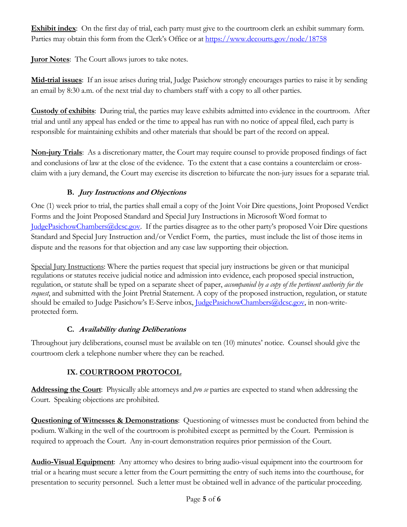**Exhibit index**: On the first day of trial, each party must give to the courtroom clerk an exhibit summary form. Parties may obtain this form from the Clerk's Office or at https://www.dccourts.gov/node/18758

**Juror Notes**: The Court allows jurors to take notes.

**Mid-trial issues**: If an issue arises during trial, Judge Pasichow strongly encourages parties to raise it by sending an email by 8:30 a.m. of the next trial day to chambers staff with a copy to all other parties.

**Custody of exhibits**: During trial, the parties may leave exhibits admitted into evidence in the courtroom. After trial and until any appeal has ended or the time to appeal has run with no notice of appeal filed, each party is responsible for maintaining exhibits and other materials that should be part of the record on appeal.

**Non-jury Trials**: As a discretionary matter, the Court may require counsel to provide proposed findings of fact and conclusions of law at the close of the evidence. To the extent that a case contains a counterclaim or crossclaim with a jury demand, the Court may exercise its discretion to bifurcate the non-jury issues for a separate trial.

### **B. Jury Instructions and Objections**

One (1) week prior to trial, the parties shall email a copy of the Joint Voir Dire questions, Joint Proposed Verdict Forms and the Joint Proposed Standard and Special Jury Instructions in Microsoft Word format to JudgePasichowChambers@dcsc.gov. If the parties disagree as to the other party's proposed Voir Dire questions Standard and Special Jury Instruction and/or Verdict Form, the parties, must include the list of those items in dispute and the reasons for that objection and any case law supporting their objection.

Special Jury Instructions: Where the parties request that special jury instructions be given or that municipal regulations or statutes receive judicial notice and admission into evidence, each proposed special instruction, regulation, or statute shall be typed on a separate sheet of paper, *accompanied by a copy of the pertinent authority for the request*, and submitted with the Joint Pretrial Statement. A copy of the proposed instruction, regulation, or statute should be emailed to Judge Pasichow's E-Serve inbox, JudgePasichowChambers@dcsc.gov, in non-writeprotected form.

### **C. Availability during Deliberations**

Throughout jury deliberations, counsel must be available on ten (10) minutes' notice. Counsel should give the courtroom clerk a telephone number where they can be reached.

### **IX. COURTROOM PROTOCOL**

**Addressing the Court**:Physically able attorneys and *pro se* parties are expected to stand when addressing the Court. Speaking objections are prohibited.

**Questioning of Witnesses & Demonstrations:** Questioning of witnesses must be conducted from behind the podium. Walking in the well of the courtroom is prohibited except as permitted by the Court. Permission is required to approach the Court. Any in-court demonstration requires prior permission of the Court.

**Audio-Visual Equipment**: Any attorney who desires to bring audio-visual equipment into the courtroom for trial or a hearing must secure a letter from the Court permitting the entry of such items into the courthouse, for presentation to security personnel. Such a letter must be obtained well in advance of the particular proceeding.